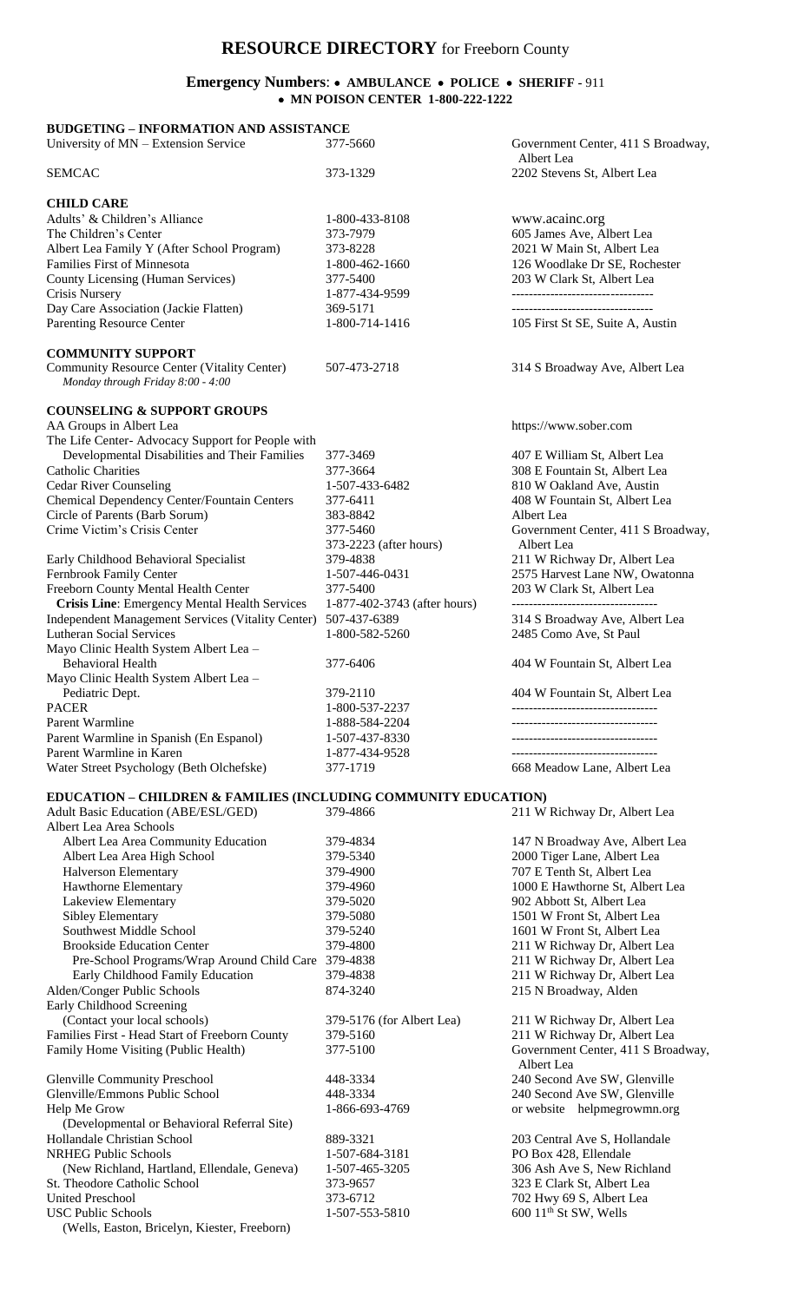## **RESOURCE DIRECTORY** for Freeborn County

## **Emergency Numbers**:  **AMBULANCE POLICE SHERIFF -** 911  **MN POISON CENTER 1-800-222-1222**

| <b>BUDGETING - INFORMATION AND ASSISTANCE</b>                                    |                              |                                                                |
|----------------------------------------------------------------------------------|------------------------------|----------------------------------------------------------------|
| University of MN - Extension Service                                             | 377-5660                     | Government Center, 411 S Broadway,<br>Albert Lea               |
| <b>SEMCAC</b>                                                                    | 373-1329                     | 2202 Stevens St, Albert Lea                                    |
| <b>CHILD CARE</b>                                                                |                              |                                                                |
| Adults' & Children's Alliance                                                    | 1-800-433-8108               | www.acainc.org                                                 |
| The Children's Center                                                            | 373-7979                     | 605 James Ave, Albert Lea                                      |
| Albert Lea Family Y (After School Program)                                       | 373-8228                     | 2021 W Main St, Albert Lea                                     |
| <b>Families First of Minnesota</b>                                               | 1-800-462-1660               | 126 Woodlake Dr SE, Rochester                                  |
| County Licensing (Human Services)                                                | 377-5400                     | 203 W Clark St, Albert Lea                                     |
| <b>Crisis Nursery</b>                                                            | 1-877-434-9599               | ----------------------------------                             |
| Day Care Association (Jackie Flatten)                                            | 369-5171                     | ---------------------------------                              |
| Parenting Resource Center                                                        | 1-800-714-1416               | 105 First St SE, Suite A, Austin                               |
| <b>COMMUNITY SUPPORT</b>                                                         |                              |                                                                |
| Community Resource Center (Vitality Center)<br>Monday through Friday 8:00 - 4:00 | 507-473-2718                 | 314 S Broadway Ave, Albert Lea                                 |
| <b>COUNSELING &amp; SUPPORT GROUPS</b>                                           |                              |                                                                |
| AA Groups in Albert Lea                                                          |                              | https://www.sober.com                                          |
| The Life Center- Advocacy Support for People with                                |                              |                                                                |
| Developmental Disabilities and Their Families                                    | 377-3469                     | 407 E William St, Albert Lea                                   |
| <b>Catholic Charities</b>                                                        | 377-3664                     | 308 E Fountain St, Albert Lea                                  |
| <b>Cedar River Counseling</b>                                                    | 1-507-433-6482               | 810 W Oakland Ave, Austin                                      |
| Chemical Dependency Center/Fountain Centers                                      | 377-6411                     | 408 W Fountain St, Albert Lea                                  |
| Circle of Parents (Barb Sorum)                                                   | 383-8842                     | Albert Lea                                                     |
| Crime Victim's Crisis Center                                                     | 377-5460                     | Government Center, 411 S Broadway,                             |
|                                                                                  | 373-2223 (after hours)       | Albert Lea                                                     |
| Early Childhood Behavioral Specialist                                            | 379-4838                     | 211 W Richway Dr, Albert Lea<br>2575 Harvest Lane NW, Owatonna |
| Fernbrook Family Center<br>Freeborn County Mental Health Center                  | 1-507-446-0431<br>377-5400   | 203 W Clark St, Albert Lea                                     |
| <b>Crisis Line: Emergency Mental Health Services</b>                             | 1-877-402-3743 (after hours) | ----------------------------------                             |
| <b>Independent Management Services (Vitality Center)</b>                         | 507-437-6389                 | 314 S Broadway Ave, Albert Lea                                 |
| <b>Lutheran Social Services</b>                                                  | 1-800-582-5260               | 2485 Como Ave, St Paul                                         |
| Mayo Clinic Health System Albert Lea -                                           |                              |                                                                |
| <b>Behavioral Health</b>                                                         | 377-6406                     | 404 W Fountain St, Albert Lea                                  |
| Mayo Clinic Health System Albert Lea -                                           |                              |                                                                |
| Pediatric Dept.                                                                  | 379-2110                     | 404 W Fountain St, Albert Lea                                  |
| <b>PACER</b>                                                                     | 1-800-537-2237               |                                                                |
| Parent Warmline                                                                  | 1-888-584-2204               | ------------------------                                       |
| Parent Warmline in Spanish (En Espanol)                                          | 1-507-437-8330               |                                                                |
| Parent Warmline in Karen                                                         | 1-877-434-9528               |                                                                |
| Water Street Psychology (Beth Olchefske)                                         | 377-1719                     | 668 Meadow Lane, Albert Lea                                    |
| <b>EDUCATION - CHILDREN &amp; FAMILIES (INCLUDING COMMUNITY EDUCATION)</b>       |                              |                                                                |
| <b>Adult Basic Education (ABE/ESL/GED)</b>                                       | 379-4866                     | 211 W Richway Dr. Albert Lea                                   |

| <b>Adult Basic Education (ABE/ESL/GED)</b>          | 379-4866                  | 211 W Richway Dr, Albert Lea                     |
|-----------------------------------------------------|---------------------------|--------------------------------------------------|
| Albert Lea Area Schools                             |                           |                                                  |
| Albert Lea Area Community Education                 | 379-4834                  | 147 N Broadway Ave, Albert Lea                   |
| Albert Lea Area High School                         | 379-5340                  | 2000 Tiger Lane, Albert Lea                      |
| Halverson Elementary                                | 379-4900                  | 707 E Tenth St, Albert Lea                       |
| Hawthorne Elementary                                | 379-4960                  | 1000 E Hawthorne St, Albert Lea                  |
| Lakeview Elementary                                 | 379-5020                  | 902 Abbott St, Albert Lea                        |
| <b>Sibley Elementary</b>                            | 379-5080                  | 1501 W Front St, Albert Lea                      |
| Southwest Middle School                             | 379-5240                  | 1601 W Front St, Albert Lea                      |
| <b>Brookside Education Center</b>                   | 379-4800                  | 211 W Richway Dr, Albert Lea                     |
| Pre-School Programs/Wrap Around Child Care 379-4838 |                           | 211 W Richway Dr, Albert Lea                     |
| Early Childhood Family Education                    | 379-4838                  | 211 W Richway Dr, Albert Lea                     |
| Alden/Conger Public Schools                         | 874-3240                  | 215 N Broadway, Alden                            |
| Early Childhood Screening                           |                           |                                                  |
| (Contact your local schools)                        | 379-5176 (for Albert Lea) | 211 W Richway Dr, Albert Lea                     |
| Families First - Head Start of Freeborn County      | 379-5160                  | 211 W Richway Dr, Albert Lea                     |
| Family Home Visiting (Public Health)                | 377-5100                  | Government Center, 411 S Broadway,<br>Albert Lea |
| <b>Glenville Community Preschool</b>                | 448-3334                  | 240 Second Ave SW, Glenville                     |
| Glenville/Emmons Public School                      | 448-3334                  | 240 Second Ave SW, Glenville                     |
| Help Me Grow                                        | 1-866-693-4769            | or website helpmegrowmn.org                      |
| (Developmental or Behavioral Referral Site)         |                           |                                                  |
| Hollandale Christian School                         | 889-3321                  | 203 Central Ave S, Hollandale                    |
| <b>NRHEG Public Schools</b>                         | 1-507-684-3181            | PO Box 428, Ellendale                            |
| (New Richland, Hartland, Ellendale, Geneva)         | 1-507-465-3205            | 306 Ash Ave S, New Richland                      |
| St. Theodore Catholic School                        | 373-9657                  | 323 E Clark St, Albert Lea                       |
| <b>United Preschool</b>                             | 373-6712                  | 702 Hwy 69 S, Albert Lea                         |
| <b>USC Public Schools</b>                           | 1-507-553-5810            | 600 11 <sup>th</sup> St SW, Wells                |
| (Wells, Easton, Bricelyn, Kiester, Freeborn)        |                           |                                                  |